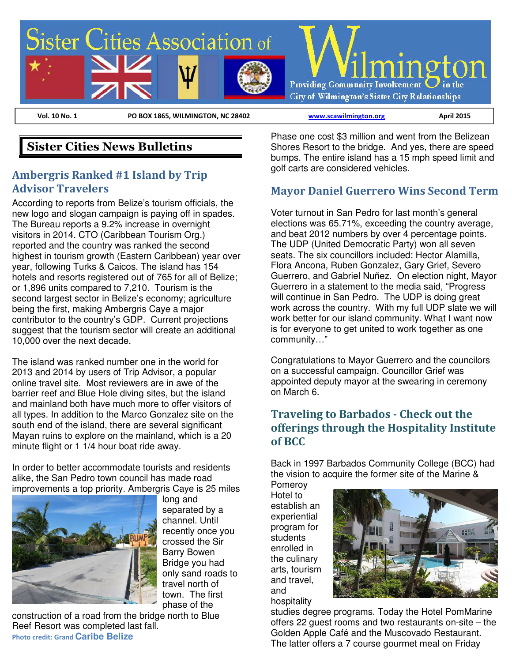

# **Sister Cities News Bulletins**

### **Ambergris Ranked #1 Island by Trip Advisor Travelers**

According to reports from Belize's tourism officials, the new logo and slogan campaign is paying off in spades. The Bureau reports a 9.2% increase in overnight visitors in 2014. CTO (Caribbean Tourism Org.) reported and the country was ranked the second highest in tourism growth (Eastern Caribbean) year over year, following Turks & Caicos. The island has 154 hotels and resorts registered out of 765 for all of Belize; or 1,896 units compared to 7,210. Tourism is the second largest sector in Belize's economy; agriculture being the first, making Ambergris Caye a major contributor to the country's GDP. Current projections suggest that the tourism sector will create an additional 10,000 over the next decade.

The island was ranked number one in the world for 2013 and 2014 by users of Trip Advisor, a popular online travel site. Most reviewers are in awe of the barrier reef and Blue Hole diving sites, but the island and mainland both have much more to offer visitors of all types. In addition to the Marco Gonzalez site on the south end of the island, there are several significant Mayan ruins to explore on the mainland, which is a 20 minute flight or 1 1/4 hour boat ride away.

In order to better accommodate tourists and residents alike, the San Pedro town council has made road improvements a top priority. Ambergris Caye is 25 miles



long and separated by a channel. Until recently once you crossed the Sir Barry Bowen Bridge you had only sand roads to travel north of town. The first phase of the

construction of a road from the bridge north to Blue Reef Resort was completed last fall. **Photo credit: Grand Caribe Belize** 

Phase one cost \$3 million and went from the Belizean Shores Resort to the bridge. And yes, there are speed bumps. The entire island has a 15 mph speed limit and golf carts are considered vehicles.

#### **Mayor Daniel Guerrero Wins Second Term**

Voter turnout in San Pedro for last month's general elections was 65.71%, exceeding the country average, and beat 2012 numbers by over 4 percentage points. The UDP (United Democratic Party) won all seven seats. The six councillors included: Hector Alamilla, Flora Ancona, Ruben Gonzalez, Gary Grief, Severo Guerrero, and Gabriel Nun͂ez. On election night, Mayor Guerrero in a statement to the media said, "Progress will continue in San Pedro. The UDP is doing great work across the country. With my full UDP slate we will work better for our island community. What I want now is for everyone to get united to work together as one community…"

Congratulations to Mayor Guerrero and the councilors on a successful campaign. Councillor Grief was appointed deputy mayor at the swearing in ceremony on March 6.

### **Traveling to Barbados - Check out the offerings through the Hospitality Institute of BCC**

Back in 1997 Barbados Community College (BCC) had the vision to acquire the former site of the Marine &

Pomeroy Hotel to establish an experiential program for students enrolled in the culinary arts, tourism and travel, and hospitality



studies degree programs. Today the Hotel PomMarine offers 22 guest rooms and two restaurants on-site – the Golden Apple Café and the Muscovado Restaurant. The latter offers a 7 course gourmet meal on Friday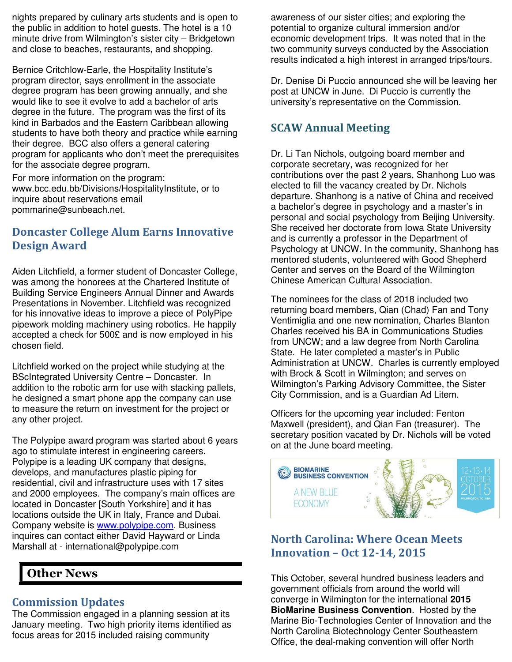nights prepared by culinary arts students and is open to the public in addition to hotel guests. The hotel is a 10 minute drive from Wilmington's sister city – Bridgetown and close to beaches, restaurants, and shopping.

Bernice Critchlow-Earle, the Hospitality Institute's program director, says enrollment in the associate degree program has been growing annually, and she would like to see it evolve to add a bachelor of arts degree in the future. The program was the first of its kind in Barbados and the Eastern Caribbean allowing students to have both theory and practice while earning their degree. BCC also offers a general catering program for applicants who don't meet the prerequisites for the associate degree program.

For more information on the program: www.bcc.edu.bb/Divisions/HospitalityInstitute, or to inquire about reservations email pommarine@sunbeach.net.

### **Doncaster College Alum Earns Innovative Design Award**

Aiden Litchfield, a former student of Doncaster College, was among the honorees at the Chartered Institute of Building Service Engineers Annual Dinner and Awards Presentations in November. Litchfield was recognized for his innovative ideas to improve a piece of PolyPipe pipework molding machinery using robotics. He happily accepted a check for 500£ and is now employed in his chosen field.

Litchfield worked on the project while studying at the BScIntegrated University Centre – Doncaster. In addition to the robotic arm for use with stacking pallets, he designed a smart phone app the company can use to measure the return on investment for the project or any other project.

The Polypipe award program was started about 6 years ago to stimulate interest in engineering careers. Polypipe is a leading UK company that designs, develops, and manufactures plastic piping for residential, civil and infrastructure uses with 17 sites and 2000 employees. The company's main offices are located in Doncaster [South Yorkshire] and it has locations outside the UK in Italy, France and Dubai. Company website is www.polypipe.com. Business inquires can contact either David Hayward or Linda Marshall at - international@polypipe.com

# **Other News**

#### **Commission Updates**

The Commission engaged in a planning session at its January meeting. Two high priority items identified as focus areas for 2015 included raising community

awareness of our sister cities; and exploring the potential to organize cultural immersion and/or economic development trips. It was noted that in the two community surveys conducted by the Association results indicated a high interest in arranged trips/tours.

Dr. Denise Di Puccio announced she will be leaving her post at UNCW in June. Di Puccio is currently the university's representative on the Commission.

## **SCAW Annual Meeting**

Dr. Li Tan Nichols, outgoing board member and corporate secretary, was recognized for her contributions over the past 2 years. Shanhong Luo was elected to fill the vacancy created by Dr. Nichols departure. Shanhong is a native of China and received a bachelor's degree in psychology and a master's in personal and social psychology from Beijing University. She received her doctorate from Iowa State University and is currently a professor in the Department of Psychology at UNCW. In the community, Shanhong has mentored students, volunteered with Good Shepherd Center and serves on the Board of the Wilmington Chinese American Cultural Association.

The nominees for the class of 2018 included two returning board members, Qian (Chad) Fan and Tony Ventimiglia and one new nomination, Charles Blanton Charles received his BA in Communications Studies from UNCW; and a law degree from North Carolina State. He later completed a master's in Public Administration at UNCW. Charles is currently employed with Brock & Scott in Wilmington; and serves on Wilmington's Parking Advisory Committee, the Sister City Commission, and is a Guardian Ad Litem.

Officers for the upcoming year included: Fenton Maxwell (president), and Qian Fan (treasurer). The secretary position vacated by Dr. Nichols will be voted on at the June board meeting.



## **North Carolina: Where Ocean Meets Innovation – Oct 12-14, 2015**

This October, several hundred business leaders and government officials from around the world will converge in Wilmington for the international **2015 BioMarine Business Convention**. Hosted by the Marine Bio-Technologies Center of Innovation and the North Carolina Biotechnology Center Southeastern Office, the deal-making convention will offer North